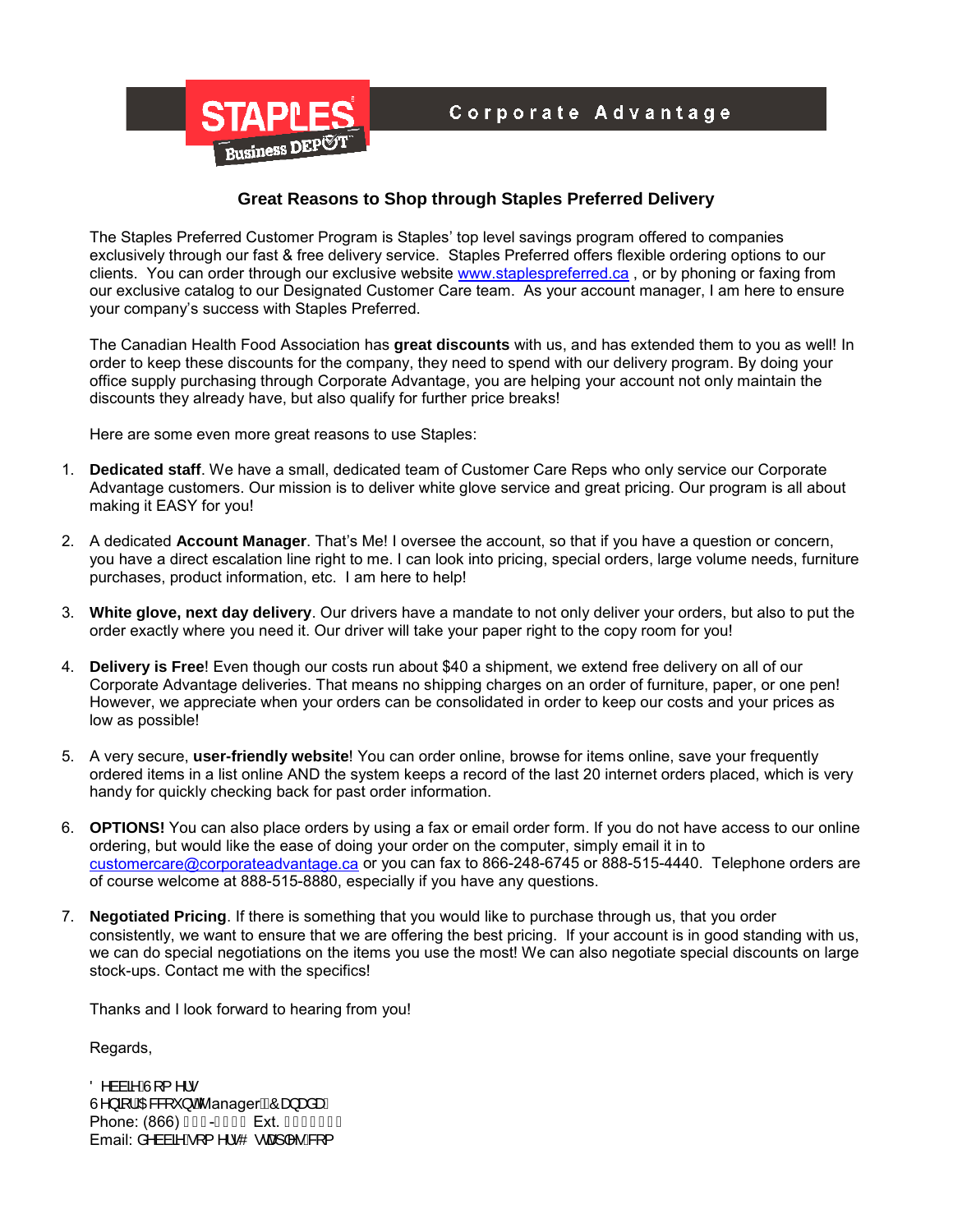

## **Great Reasons to Shop through Staples Preferred Delivery**

The Staples Preferred Customer Program is Staples' top level savings program offered to companies exclusively through our fast & free delivery service. Staples Preferred offers flexible ordering options to our clients. You can order through our exclusive website [www.staplespreferred.ca](http://www.staplespreferred.ca/), or by phoning or faxing from our exclusive catalog to our Designated Customer Care team. As your account manager, I am here to ensure your company's success with Staples Preferred.

The Canadian Health Food Association has **great discounts** with us, and has extended them to you as well! In order to keep these discounts for the company, they need to spend with our delivery program. By doing your office supply purchasing through Corporate Advantage, you are helping your account not only maintain the discounts they already have, but also qualify for further price breaks!

Here are some even more great reasons to use Staples:

- 1. **Dedicated staff**. We have a small, dedicated team of Customer Care Reps who only service our Corporate Advantage customers. Our mission is to deliver white glove service and great pricing. Our program is all about making it EASY for you!
- 2. A dedicated **Account Manager**. That's Me! I oversee the account, so that if you have a question or concern, you have a direct escalation line right to me. I can look into pricing, special orders, large volume needs, furniture purchases, product information, etc. I am here to help!
- 3. **White glove, next day delivery**. Our drivers have a mandate to not only deliver your orders, but also to put the order exactly where you need it. Our driver will take your paper right to the copy room for you!
- 4. **Delivery is Free**! Even though our costs run about \$40 a shipment, we extend free delivery on all of our Corporate Advantage deliveries. That means no shipping charges on an order of furniture, paper, or one pen! However, we appreciate when your orders can be consolidated in order to keep our costs and your prices as low as possible!
- 5. A very secure, **user-friendly website**! You can order online, browse for items online, save your frequently ordered items in a list online AND the system keeps a record of the last 20 internet orders placed, which is very handy for quickly checking back for past order information.
- 6. **OPTIONS!** You can also place orders by using a fax or email order form. If you do not have access to our online ordering, but would like the ease of doing your order on the computer, simply email it in to [customercare@corporateadvantage.ca](mailto:customercare@corporateadvantage.ca) or you can fax to 866-248-6745 or 888-515-4440. Telephone orders are of course welcome at 888-515-8880, especially if you have any questions.
- 7. **Negotiated Pricing**. If there is something that you would like to purchase through us, that you order consistently, we want to ensure that we are offering the best pricing. If your account is in good standing with us, we can do special negotiations on the items you use the most! We can also negotiate special discounts on large stock-ups. Contact me with the specifics!

Thanks and I look forward to hearing from you!

Regards,

Ö^ààã^ÂJ[ { ^¦∙ Un } al *i* Quesa \* } of Manager  $\widehat{A}$ Coa ana and Phone:  $(866)$  HFJ- $\overrightarrow{I}$  Fi F Ext. GEI I I FI Email:  $a \triangle a \tilde{a} \tilde{e}$ [ {  $\triangle$ | $\bullet$ O  $\bullet$  ca $\Rightarrow$  | $\triangle \bullet$  B {